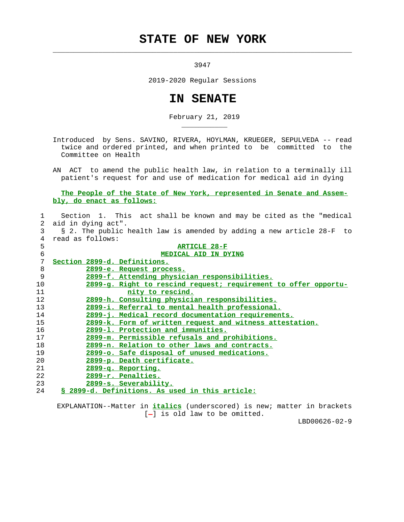## **STATE OF NEW YORK**

3947

 $\mathcal{L}_\text{max} = \frac{1}{2} \sum_{i=1}^{n} \frac{1}{2} \sum_{i=1}^{n} \frac{1}{2} \sum_{i=1}^{n} \frac{1}{2} \sum_{i=1}^{n} \frac{1}{2} \sum_{i=1}^{n} \frac{1}{2} \sum_{i=1}^{n} \frac{1}{2} \sum_{i=1}^{n} \frac{1}{2} \sum_{i=1}^{n} \frac{1}{2} \sum_{i=1}^{n} \frac{1}{2} \sum_{i=1}^{n} \frac{1}{2} \sum_{i=1}^{n} \frac{1}{2} \sum_{i=1}^{n} \frac{1$ 

\_\_\_\_\_\_\_\_\_\_\_

2019-2020 Regular Sessions

## **IN SENATE**

February 21, 2019

 Introduced by Sens. SAVINO, RIVERA, HOYLMAN, KRUEGER, SEPULVEDA -- read twice and ordered printed, and when printed to be committed to the Committee on Health

 AN ACT to amend the public health law, in relation to a terminally ill patient's request for and use of medication for medical aid in dying

 **The People of the State of New York, represented in Senate and Assem bly, do enact as follows:**

| $\mathbf{1}$      | Section 1. This act shall be known and may be cited as the "medical   |
|-------------------|-----------------------------------------------------------------------|
|                   | 2 aid in dying act".                                                  |
| 3                 | § 2. The public health law is amended by adding a new article 28-F to |
| 4                 | read as follows:                                                      |
| 5                 | <b>ARTICLE 28-F</b>                                                   |
| 6                 | <b>MEDICAL AID IN DYING</b>                                           |
| 7                 | Section 2899-d. Definitions.                                          |
| 8                 | 2899-e. Request process.                                              |
| 9                 | 2899-f. Attending physician responsibilities.                         |
| 10                | 2899-g. Right to rescind request; requirement to offer opportu-       |
| 11                | nity to rescind.                                                      |
| $12 \overline{ }$ | 2899-h. Consulting physician responsibilities.                        |
| 13                | 2899-i. Referral to mental health professional.                       |
| 14                | 2899-j. Medical record documentation requirements.                    |
| 15                | 2899-k. Form of written request and witness attestation.              |
| 16                | 2899-1. Protection and immunities.                                    |
| 17                | 2899-m. Permissible refusals and prohibitions.                        |
| 18                | 2899-n. Relation to other laws and contracts.                         |
| 19                | <u>2899-o. Safe disposal of unused medications.</u>                   |
| 20                | <u> 2899-p. Death certificate.</u>                                    |
| 21                | 2899-g. Reporting.                                                    |
| 22                | 2899-r. Penalties.                                                    |
| 23                | 2899-s. Severability.                                                 |
| 24                | § 2899-d. Definitions. As used in this article:                       |

 EXPLANATION--Matter in **italics** (underscored) is new; matter in brackets  $[-]$  is old law to be omitted.

LBD00626-02-9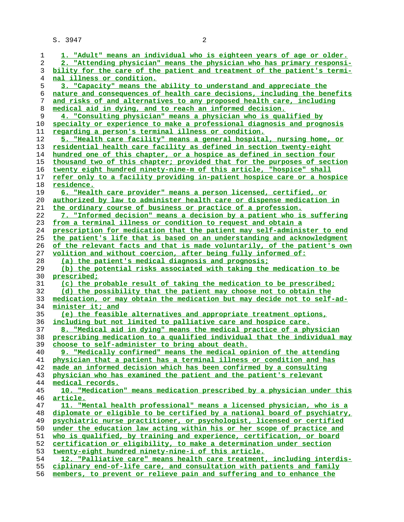| 1        | 1. "Adult" means an individual who is eighteen years of age or older.                                                         |
|----------|-------------------------------------------------------------------------------------------------------------------------------|
| 2        | 2. "Attending physician" means the physician who has primary responsi-                                                        |
| 3        | bility for the care of the patient and treatment of the patient's termi-                                                      |
| 4        | nal illness or condition.                                                                                                     |
| 5        | 3. "Capacity" means the ability to understand and appreciate the                                                              |
| 6        | nature and consequences of health care decisions, including the benefits                                                      |
| 7        | and risks of and alternatives to any proposed health care, including                                                          |
| 8        | medical aid in dying, and to reach an informed decision.                                                                      |
| 9        | 4. "Consulting physician" means a physician who is qualified by                                                               |
|          |                                                                                                                               |
| 10       | specialty or experience to make a professional diagnosis and prognosis                                                        |
| 11       | regarding a person's terminal illness or condition.                                                                           |
| 12       | 5. "Health care facility" means a general hospital, nursing home, or                                                          |
| 13       | residential health care facility as defined in section twenty-eight                                                           |
| 14       | hundred one of this chapter, or a hospice as defined in section four                                                          |
| 15       | thousand two of this chapter; provided that for the purposes of section                                                       |
| 16       | twenty eight hundred ninety-nine-m of this article, "hospice" shall                                                           |
| 17       | refer only to a facility providing in-patient hospice care or a hospice                                                       |
| 18       | residence.                                                                                                                    |
| 19       | 6. "Health care provider" means a person licensed, certified, or                                                              |
| 20       | authorized by law to administer health care or dispense medication in                                                         |
| 21       | the ordinary course of business or practice of a profession.                                                                  |
| 22       | 7. "Informed decision" means a decision by a patient who is suffering                                                         |
| 23       | from a terminal illness or condition to request and obtain a                                                                  |
| 24       | prescription for medication that the patient may self-administer to end                                                       |
| 25       | the patient's life that is based on an understanding and acknowledgment                                                       |
| 26       | of the relevant facts and that is made voluntarily, of the patient's own                                                      |
| 27       | volition and without coercion, after being fully informed of:                                                                 |
| 28       | (a) the patient's medical diagnosis and prognosis;                                                                            |
| 29       | (b) the potential risks associated with taking the medication to be                                                           |
| 30       | prescribed;                                                                                                                   |
| 31       | (c) the probable result of taking the medication to be prescribed;                                                            |
| 32       | (d) the possibility that the patient may choose not to obtain the                                                             |
| 33       | medication, or may obtain the medication but may decide not to self-ad-                                                       |
| 34       | minister it; and                                                                                                              |
| 35       | (e) the feasible alternatives and appropriate treatment options,                                                              |
| 36       | including but not limited to palliative care and hospice care.                                                                |
| 37       | 8. "Medical aid in dying" means the medical practice of a physician                                                           |
| 38       | prescribing medication to a qualified individual that the individual may                                                      |
| 39       | choose to self-administer to bring about death.                                                                               |
| 40       | 9. "Medically confirmed" means the medical opinion of the attending                                                           |
| 41       | physician that a patient has a terminal illness or condition and has                                                          |
| 42       | made an informed decision which has been confirmed by a consulting                                                            |
| 43       | physician who has examined the patient and the patient's relevant                                                             |
| 44       | medical records.                                                                                                              |
| 45       | 10. "Medication" means medication prescribed by a physician under this                                                        |
| 46       | <u>article.</u>                                                                                                               |
| 47       | 11. "Mental health professional" means a licensed physician, who is a                                                         |
| 48       | diplomate or eligible to be certified by a national board of psychiatry,                                                      |
| 49       | psychiatric nurse practitioner, or psychologist, licensed or certified                                                        |
| 50       | under the education law acting within his or her scope of practice and                                                        |
| 51<br>52 | who is qualified, by training and experience, certification, or board                                                         |
|          | certification or eligibility, to make a determination under section                                                           |
| 53<br>54 | twenty-eight hundred ninety-nine-i of this article.<br>12. "Palliative care" means health care treatment, including interdis- |
| 55       | ciplinary end-of-life care, and consultation with patients and family                                                         |
|          | members, to prevent or relieve pain and suffering and to enhance the                                                          |
| 56       |                                                                                                                               |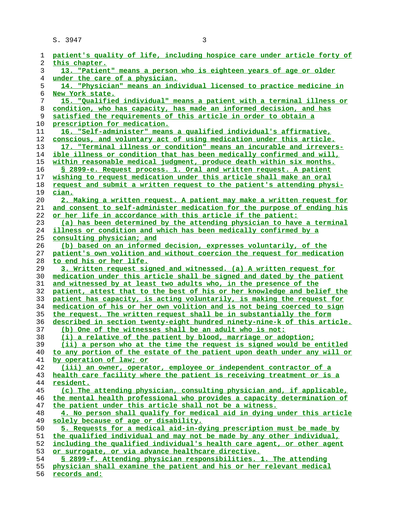| ı        | patient's quality of life, including hospice care under article forty of                                                                          |
|----------|---------------------------------------------------------------------------------------------------------------------------------------------------|
| 2        | this chapter.                                                                                                                                     |
| 3        | 13. "Patient" means a person who is eighteen years of age or older                                                                                |
| 4        | under the care of a physician.                                                                                                                    |
| 5        | 14. "Physician" means an individual licensed to practice medicine in                                                                              |
| 6        | New York state.                                                                                                                                   |
| 7        | 15. "Qualified individual" means a patient with a terminal illness or                                                                             |
| 8        | condition, who has capacity, has made an informed decision, and has                                                                               |
| 9        | satisfied the requirements of this article in order to obtain a                                                                                   |
| 10       | prescription for medication.                                                                                                                      |
| 11       | 16. "Self-administer" means a qualified individual's affirmative,                                                                                 |
| 12       | conscious, and voluntary act of using medication under this article.                                                                              |
| 13       | 17. "Terminal illness or condition" means an incurable and irrevers-                                                                              |
| 14       | ible illness or condition that has been medically confirmed and will,                                                                             |
| 15       | within reasonable medical judgment, produce death within six months.                                                                              |
| 16       | § 2899-e. Request process. 1. Oral and written request. A patient                                                                                 |
| 17       | wishing to request medication under this article shall make an oral                                                                               |
| 18       | request and submit a written request to the patient's attending physi-                                                                            |
| 19       | cian.                                                                                                                                             |
| 20       | 2. Making a written request. A patient may make a written request for                                                                             |
| 21       | and consent to self-administer medication for the purpose of ending his                                                                           |
| 22       | or her life in accordance with this article if the patient:                                                                                       |
| 23       | (a) has been determined by the attending physician to have a terminal                                                                             |
| 24       | illness or condition and which has been medically confirmed by a                                                                                  |
| 25       | consulting physician; and                                                                                                                         |
| 26       | (b) based on an informed decision, expresses voluntarily, of the                                                                                  |
| 27       | patient's own volition and without coercion the request for medication                                                                            |
| 28       | to end his or her life.                                                                                                                           |
| 29       | 3. Written request signed and witnessed. (a) A written request for                                                                                |
| 30       | medication under this article shall be signed and dated by the patient                                                                            |
| 31       | and witnessed by at least two adults who, in the presence of the                                                                                  |
| 32       | patient, attest that to the best of his or her knowledge and belief the                                                                           |
| 33       | patient has capacity, is acting voluntarily, is making the request for                                                                            |
| 34       | medication of his or her own volition and is not being coerced to sign                                                                            |
| 35       | the request. The written request shall be in substantially the form                                                                               |
| 36       | <u>described in section twenty-eight hundred ninety-nine-k of this article.</u>                                                                   |
| 37       | (b) One of the witnesses shall be an adult who is not:                                                                                            |
| 38       | (i) a relative of the patient by blood, marriage or adoption;                                                                                     |
| 39       | (ii) a person who at the time the request is signed would be entitled<br>to any portion of the estate of the patient upon death under any will or |
| 40<br>41 |                                                                                                                                                   |
| 42       | by operation of law; or<br>(iii) an owner, operator, employee or independent contractor of a                                                      |
| 43       | health care facility where the patient is receiving treatment or is a                                                                             |
| 44       | resident.                                                                                                                                         |
| 45       | (c) The attending physician, consulting physician and, if applicable,                                                                             |
| 46       | the mental health professional who provides a capacity determination of                                                                           |
| 47       | the patient under this article shall not be a witness.                                                                                            |
| 48       | 4. No person shall qualify for medical aid in dying under this article                                                                            |
| 49       | solely because of age or disability.                                                                                                              |
| 50       | 5. Requests for a medical aid-in-dying prescription must be made by                                                                               |
| 51       | the qualified individual and may not be made by any other individual,                                                                             |
| 52       | including the qualified individual's health care agent, or other agent                                                                            |
| 53       | or surrogate, or via advance healthcare directive.                                                                                                |
| 54       | § 2899-f. Attending physician responsibilities. 1. The attending                                                                                  |
| 55       | physician shall examine the patient and his or her relevant medical                                                                               |
| 56       | records and:                                                                                                                                      |
|          |                                                                                                                                                   |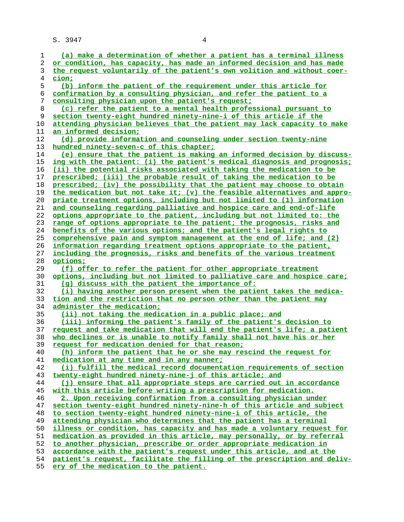| 1  | (a) make a determination of whether a patient has a terminal illness     |
|----|--------------------------------------------------------------------------|
| 2  | or condition, has capacity, has made an informed decision and has made   |
| 3  | the request voluntarily of the patient's own volition and without coer-  |
| 4  | cion;                                                                    |
| 5  | (b) inform the patient of the requirement under this article for         |
|    |                                                                          |
| 6  | confirmation by a consulting physician, and refer the patient to a       |
| 7  | consulting physician upon the patient's request;                         |
| 8  | (c) refer the patient to a mental health professional pursuant to        |
| 9  | section twenty-eight hundred ninety-nine-i of this article if the        |
| 10 | attending physician believes that the patient may lack capacity to make  |
| 11 | <u>an informed decision;</u>                                             |
| 12 | (d) provide information and counseling under section twenty-nine         |
| 13 | hundred ninety-seven-c of this chapter;                                  |
| 14 | (e) ensure that the patient is making an informed decision by discuss-   |
| 15 | ing with the patient: (i) the patient's medical diagnosis and prognosis; |
| 16 | (ii) the potential risks associated with taking the medication to be     |
| 17 | prescribed; (iii) the probable result of taking the medication to be     |
| 18 | prescribed; (iv) the possibility that the patient may choose to obtain   |
| 19 | the medication but not take it; (v) the feasible alternatives and appro- |
|    |                                                                          |
| 20 | priate treatment options, including but not limited to (1) information   |
| 21 | and counseling regarding palliative and hospice care and end-of-life     |
| 22 | options appropriate to the patient, including but not limited to: the    |
| 23 | range of options appropriate to the patient; the prognosis, risks and    |
| 24 | benefits of the various options; and the patient's legal rights to       |
| 25 | comprehensive pain and symptom management at the end of life; and (2)    |
| 26 | information regarding treatment options appropriate to the patient,      |
| 27 | including the prognosis, risks and benefits of the various treatment     |
| 28 | options;                                                                 |
| 29 | (f) offer to refer the patient for other appropriate treatment           |
| 30 | options, including but not limited to palliative care and hospice care;  |
| 31 | (g) discuss with the patient the importance of:                          |
| 32 | (i) having another person present when the patient takes the medica-     |
| 33 | tion and the restriction that no person other than the patient may       |
| 34 | administer the medication;                                               |
| 35 | (ii) not taking the medication in a public place; and                    |
| 36 | (iii) informing the patient's family of the patient's decision to        |
| 37 | request and take medication that will end the patient's life; a patient  |
| 38 | who declines or is unable to notify family shall not have his or her     |
| 39 | request for medication denied for that reason;                           |
| 40 | (h) inform the patient that he or she may rescind the request for        |
| 41 | medication at any time and in any manner;                                |
| 42 | (i) fulfill the medical record documentation requirements of section     |
|    |                                                                          |
| 43 | twenty-eight hundred ninety-nine-j of this article; and                  |
| 44 | (i) ensure that all appropriate steps are carried out in accordance      |
| 45 | with this article before writing a prescription for medication.          |
| 46 | 2. Upon receiving confirmation from a consulting physician under         |
| 47 | section twenty-eight hundred ninety-nine-h of this article and subject   |
| 48 | to section twenty-eight hundred ninety-nine-i of this article, the       |
| 49 | attending physician who determines that the patient has a terminal       |
| 50 | illness or condition, has capacity and has made a voluntary request for  |
| 51 | medication as provided in this article, may personally, or by referral   |
| 52 | to another physician, prescribe or order appropriate medication in       |
| 53 | accordance with the patient's request under this article, and at the     |
| 54 | patient's request, facilitate the filling of the prescription and deliv- |
| 55 | ery of the medication to the patient.                                    |
|    |                                                                          |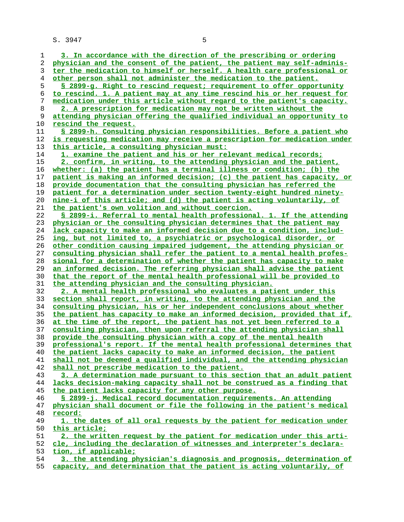**3. In accordance with the direction of the prescribing or ordering physician and the consent of the patient, the patient may self-adminis- ter the medication to himself or herself. A health care professional or other person shall not administer the medication to the patient. § 2899-g. Right to rescind request; requirement to offer opportunity to rescind. 1. A patient may at any time rescind his or her request for medication under this article without regard to the patient's capacity. 2. A prescription for medication may not be written without the attending physician offering the qualified individual an opportunity to rescind the request. § 2899-h. Consulting physician responsibilities. Before a patient who is requesting medication may receive a prescription for medication under this article, a consulting physician must: 1. examine the patient and his or her relevant medical records; 2. confirm, in writing, to the attending physician and the patient, whether: (a) the patient has a terminal illness or condition; (b) the patient is making an informed decision; (c) the patient has capacity, or provide documentation that the consulting physician has referred the patient for a determination under section twenty-eight hundred ninety- nine-i of this article; and (d) the patient is acting voluntarily, of the patient's own volition and without coercion. § 2899-i. Referral to mental health professional. 1. If the attending physician or the consulting physician determines that the patient may lack capacity to make an informed decision due to a condition, includ- ing, but not limited to, a psychiatric or psychological disorder, or other condition causing impaired judgement, the attending physician or consulting physician shall refer the patient to a mental health profes- sional for a determination of whether the patient has capacity to make an informed decision. The referring physician shall advise the patient that the report of the mental health professional will be provided to the attending physician and the consulting physician. 2. A mental health professional who evaluates a patient under this section shall report, in writing, to the attending physician and the consulting physician, his or her independent conclusions about whether the patient has capacity to make an informed decision, provided that if, at the time of the report, the patient has not yet been referred to a consulting physician, then upon referral the attending physician shall provide the consulting physician with a copy of the mental health professional's report. If the mental health professional determines that the patient lacks capacity to make an informed decision, the patient shall not be deemed a qualified individual, and the attending physician shall not prescribe medication to the patient. 3. A determination made pursuant to this section that an adult patient lacks decision-making capacity shall not be construed as a finding that the patient lacks capacity for any other purpose. § 2899-j. Medical record documentation requirements. An attending physician shall document or file the following in the patient's medical record: 1. the dates of all oral requests by the patient for medication under this article; 2. the written request by the patient for medication under this arti- cle, including the declaration of witnesses and interpreter's declara- tion, if applicable; 3. the attending physician's diagnosis and prognosis, determination of capacity, and determination that the patient is acting voluntarily, of**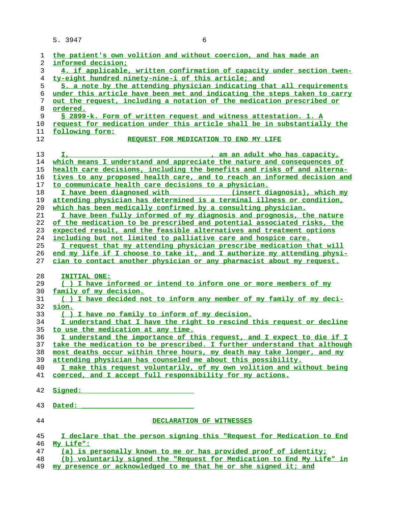| 1  | the patient's own volition and without coercion, and has made an         |
|----|--------------------------------------------------------------------------|
| 2  | informed decision:                                                       |
| 3  | 4. if applicable, written confirmation of capacity under section twen-   |
| 4  | ty-eight hundred ninety-nine-i of this article; and                      |
| 5  | 5. a note by the attending physician indicating that all requirements    |
|    |                                                                          |
| 6  | under this article have been met and indicating the steps taken to carry |
| 7  | out the request, including a notation of the medication prescribed or    |
| 8  | <u>ordered.</u>                                                          |
| 9  | S 2899-k. Form of written request and witness attestation. 1. A          |
| 10 | request for medication under this article shall be in substantially the  |
| 11 | following form:                                                          |
| 12 | REOUEST FOR MEDICATION TO END MY LIFE                                    |
|    |                                                                          |
| 13 | Ι,<br>am an adult who has capacity,                                      |
| 14 | which means I understand and appreciate the nature and consequences of   |
| 15 | health care decisions, including the benefits and risks of and alterna-  |
| 16 | tives to any proposed health care, and to reach an informed decision and |
|    | to communicate health care decisions to a physician.                     |
| 17 |                                                                          |
| 18 | I have been diagnosed with<br>(insert diagnosis), which my               |
| 19 | attending physician has determined is a terminal illness or condition,   |
| 20 | which has been medically confirmed by a consulting physician.            |
| 21 | I have been fully informed of my diagnosis and prognosis, the nature     |
| 22 | of the medication to be prescribed and potential associated risks, the   |
| 23 | expected result, and the feasible alternatives and treatment options     |
| 24 | including but not limited to palliative care and hospice care.           |
| 25 | I request that my attending physician prescribe medication that will     |
| 26 | end my life if I choose to take it, and I authorize my attending physi-  |
| 27 | cian to contact another physician or any pharmacist about my request.    |
|    |                                                                          |
| 28 | INITIAL ONE:                                                             |
| 29 | () I have informed or intend to inform one or more members of my         |
| 30 | family of my decision.                                                   |
| 31 | () I have decided not to inform any member of my family of my deci-      |
| 32 | sion.                                                                    |
|    |                                                                          |
| 33 | () I have no family to inform of my decision.                            |
| 34 | I understand that I have the right to rescind this request or decline    |
| 35 | to use the medication at any time.                                       |
| 36 | I understand the importance of this request, and I expect to die if I    |
| 37 | take the medication to be prescribed. I further understand that although |
| 38 | most deaths occur within three hours, my death may take longer, and my   |
| 39 | attending physician has counseled me about this possibility.             |
| 40 | I make this request voluntarily, of my own volition and without being    |
| 41 | coerced, and I accept full responsibility for my actions.                |
|    |                                                                          |
| 42 | Signed:                                                                  |
|    |                                                                          |
| 43 | Dated:                                                                   |
|    |                                                                          |
| 44 | DECLARATION OF WITNESSES                                                 |
|    |                                                                          |
| 45 | I declare that the person signing this "Request for Medication to End    |
| 46 | My Life":                                                                |
| 47 | (a) is personally known to me or has provided proof of identity;         |
| 48 | (b) voluntarily signed the "Request for Medication to End My Life" in    |
| 49 | my presence or acknowledged to me that he or she signed it; and          |
|    |                                                                          |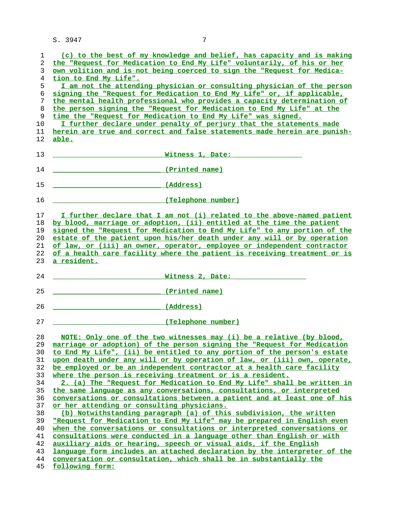| 1        | (c) to the best of my knowledge and belief, has capacity and is making               |
|----------|--------------------------------------------------------------------------------------|
| 2        | the "Request for Medication to End My Life" voluntarily, of his or her               |
| 3        | own volition and is not being coerced to sign the "Request for Medica-               |
| 4        | tion to End My Life".                                                                |
| 5        | I am not the attending physician or consulting physician of the person               |
| 6        | signing the "Request for Medication to End My Life" or, if applicable,               |
| 7        | the mental health professional who provides a capacity determination of              |
| 8        | the person signing the "Request for Medication to End My Life" at the                |
| 9        | time the "Request for Medication to End My Life" was signed.                         |
| 10       | I further declare under penalty of perjury that the statements made                  |
| 11       | herein are true and correct and false statements made herein are punish-             |
| 12       | <u>able.</u>                                                                         |
|          |                                                                                      |
| 13       | Witness 1, Date:                                                                     |
|          |                                                                                      |
| 14       | (Printed name)                                                                       |
|          |                                                                                      |
| 15       | (Address)                                                                            |
|          |                                                                                      |
| 16       | (Telephone number)                                                                   |
| 17       | I further declare that I am not (i) related to the above-named patient               |
| 18       | by blood, marriage or adoption, (ii) entitled at the time the patient                |
| 19       | signed the "Request for Medication to End My Life" to any portion of the             |
| 20       | estate of the patient upon his/her death under any will or by operation              |
| 21       | of law, or (iii) an owner, operator, employee or independent contractor              |
| 22       | of a health care facility where the patient is receiving treatment or is             |
|          |                                                                                      |
| 23       | <u>a resident.</u>                                                                   |
| 24       | Witness 2, Date:                                                                     |
|          |                                                                                      |
| 25       | (Printed name)                                                                       |
|          |                                                                                      |
| 26       | (Address)                                                                            |
|          |                                                                                      |
| 27       | (Telephone number)                                                                   |
|          |                                                                                      |
| 28       | NOTE: Only one of the two witnesses may (i) be a relative (by blood,                 |
|          | 29 marriage or adoption) of the person signing the "Request for Medication           |
| 30       | to End My Life", (ii) be entitled to any portion of the person's estate              |
| 31       | upon death under any will or by operation of law, or (iii) own, operate,             |
| 32       | be employed or be an independent contractor at a health care facility                |
| 33       | where the person is receiving treatment or is a resident.                            |
| 34       | 2. (a) The "Request for Medication to End My Life" shall be written in               |
| 35       | the same language as any conversations, consultations, or interpreted                |
| 36       | conversations or consultations between a patient and at least one of his             |
| 37       | or her attending or consulting physicians.                                           |
| 38       | (b) Notwithstanding paragraph (a) of this subdivision, the written                   |
| 39       | "Request for Medication to End My Life" may be prepared in English even              |
| 40       | when the conversations or consultations or interpreted conversations or              |
| 41       | consultations were conducted in a language other than English or with                |
| 42       | auxiliary aids or hearing, speech or visual aids, if the English                     |
| 43       |                                                                                      |
|          |                                                                                      |
|          | language form includes an attached declaration by the interpreter of the             |
| 44<br>45 | conversation or consultation, which shall be in substantially the<br>following form: |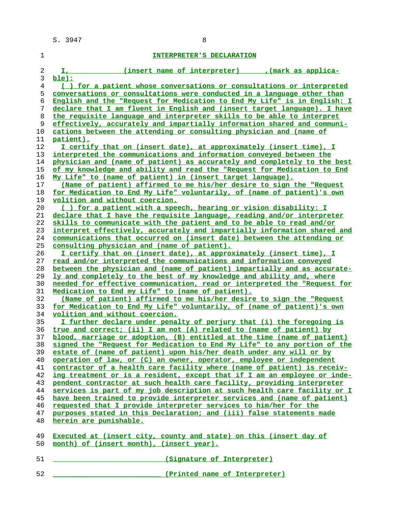|          | INTERPRETER'S DECLARATION                                                |
|----------|--------------------------------------------------------------------------|
| 2        | (insert name of interpreter) (mark as applica-                           |
|          | ble):                                                                    |
|          | () for a patient whose conversations or consultations or interpreted     |
| 5.       | conversations or consultations were conducted in a language other than   |
| 6        | English and the "Request for Medication to End My Life" is in English: 1 |
|          | declare that I am fluent in English and (insert target language). I have |
| 8        | the requisite language and interpreter skills to be able to interpret    |
| $\Omega$ | offoatively aggurately and impartially information ghared and genuini-   |

| 5  | <u>conversations or consultations were conducted in a language other than</u> |
|----|-------------------------------------------------------------------------------|
| 6  | English and the "Request for Medication to End My Life" is in English: I      |
| 7  | declare that I am fluent in English and (insert target language). I have      |
| 8  | the requisite language and interpreter skills to be able to interpret         |
| 9  | effectively, accurately and impartially information shared and communi-       |
| 10 | cations between the attending or consulting physician and (name of            |
| 11 | <u>patient).</u>                                                              |
| 12 | I certify that on (insert date), at approximately (insert time), I            |
| 13 | interpreted the communications and information conveyed between the           |
| 14 | physician and (name of patient) as accurately and completely to the best      |
| 15 | of my knowledge and ability and read the "Request for Medication to End       |
| 16 | My Life" to (name of patient) in (insert target language).                    |
| 17 | (Name of patient) affirmed to me his/her desire to sign the "Request          |
| 18 | for Medication to End My Life" voluntarily, of (name of patient)'s own        |
| 19 | <u>volition and without coercion.</u>                                         |
| 20 | () for a patient with a speech, hearing or vision disability: I               |
| 21 | declare that I have the requisite language, reading and/or interpreter        |
| 22 | skills to communicate with the patient and to be able to read and/or          |
| 23 | interpret effectively, accurately and impartially information shared and      |
| 24 | communications that occurred on (insert date) between the attending or        |
| 25 | consulting physician and (name of patient).                                   |
| 26 | I certify that on (insert date), at approximately (insert time), I            |
| 27 | read and/or interpreted the communications and information conveyed           |
| 28 | between the physician and (name of patient) impartially and as accurate-      |
| 29 | ly and completely to the best of my knowledge and ability and, where          |
| 30 | needed for effective communication, read or interpreted the "Request for      |
| 31 | Medication to End my Life" to (name of patient).                              |
| 32 | (Name of patient) affirmed to me his/her desire to sign the "Request          |
| 33 | for Medication to End My Life" voluntarily, of (name of patient)'s own        |
| 34 | <u>volition and without coercion.</u>                                         |
| 35 | I further declare under penalty of perjury that (i) the foregoing is          |
| 36 | true and correct; (ii) I am not (A) related to (name of patient) by           |
| 37 | blood, marriage or adoption, (B) entitled at the time (name of patient)       |
| 38 | signed the "Request for Medication to End My Life" to any portion of the      |
| 39 | estate of (name of patient) upon his/her death under any will or by           |
| 40 | <u>operation of law, or (C) an owner, operator, employee or independent</u>   |
| 41 | contractor of a health care facility where (name of patient) is receiv-       |
| 42 | ing treatment or is a resident, except that if I am an employee or inde-      |
| 43 | pendent contractor at such health care facility, providing interpreter        |
| 44 | services is part of my job description at such health care facility or I      |
| 45 | have been trained to provide interpreter services and (name of patient)       |
| 46 | requested that I provide interpreter services to him/her for the              |
| 47 | purposes stated in this Declaration; and (iii) false statements made          |
| 48 | herein are punishable.                                                        |
|    |                                                                               |
| 49 | Executed at (insert city, county and state) on this (insert day of            |

- **month) of (insert month), (insert year).**
- **\_\_\_\_\_\_\_\_\_\_\_\_\_\_\_\_\_\_\_\_\_\_\_\_\_\_ (Signature of Interpreter)**
- **\_\_\_\_\_\_\_\_\_\_\_\_\_\_\_\_\_\_\_\_\_\_\_\_\_\_ (Printed name of Interpreter)**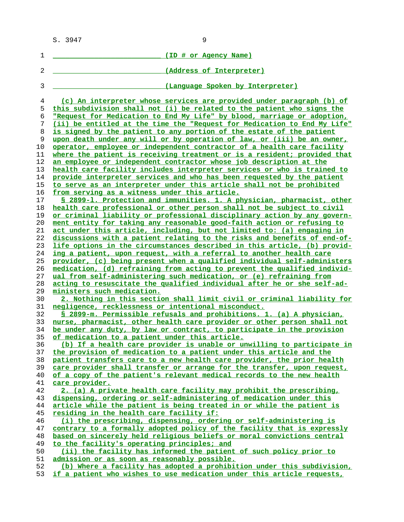| 1        | (ID # or Agency Name)                                                                                                                            |
|----------|--------------------------------------------------------------------------------------------------------------------------------------------------|
| 2        | (Address of Interpreter)                                                                                                                         |
| 3        | (Language Spoken by Interpreter)                                                                                                                 |
|          |                                                                                                                                                  |
| 4        | (c) An interpreter whose services are provided under paragraph (b) of                                                                            |
| 5        | this subdivision shall not (i) be related to the patient who signs the                                                                           |
| 6        | "Request for Medication to End My Life" by blood, marriage or adoption,                                                                          |
| 7<br>8   | (ii) be entitled at the time the "Request for Medication to End My Life"<br>is signed by the patient to any portion of the estate of the patient |
| 9        | upon death under any will or by operation of law, or (iii) be an owner,                                                                          |
| 10       | operator, employee or independent contractor of a health care facility                                                                           |
| 11       | where the patient is receiving treatment or is a resident; provided that                                                                         |
| 12       | an employee or independent contractor whose job description at the                                                                               |
| 13       | health care facility includes interpreter services or who is trained to                                                                          |
| 14       | provide interpreter services and who has been requested by the patient                                                                           |
| 15<br>16 | to serve as an interpreter under this article shall not be prohibited<br>from serving as a witness under this article.                           |
| 17       | § 2899-1. Protection and immunities. 1. A physician, pharmacist, other                                                                           |
| 18       | health care professional or other person shall not be subject to civil                                                                           |
| 19       | or criminal liability or professional disciplinary action by any govern-                                                                         |
| 20       | ment entity for taking any reasonable good-faith action or refusing to                                                                           |
| 21       | act under this article, including, but not limited to: (a) engaging in                                                                           |
| 22       | discussions with a patient relating to the risks and benefits of end-of-                                                                         |
| 23       | life options in the circumstances described in this article, (b) provid-                                                                         |
| 24       | ing a patient, upon request, with a referral to another health care                                                                              |
| 25       | provider, (c) being present when a qualified individual self-administers                                                                         |
| 26       | medication, (d) refraining from acting to prevent the qualified individ-                                                                         |
| 27       | ual from self-administering such medication, or (e) refraining from                                                                              |
| 28       | <u>acting to resuscitate the qualified individual after he or she self-ad-</u>                                                                   |
| 29       | ministers such medication.                                                                                                                       |
| 30       | 2. Nothing in this section shall limit civil or criminal liability for                                                                           |
| 31       | negligence, recklessness or intentional misconduct.                                                                                              |
| 32       | § 2899-m. Permissible refusals and prohibitions. 1. (a) A physician,                                                                             |
| 33       | nurse, pharmacist, other health care provider or other person shall not                                                                          |
| 34       | be under any duty, by law or contract, to participate in the provision                                                                           |
| 35       | of medication to a patient under this article.                                                                                                   |
| 36       | (b) If a health care provider is unable or unwilling to participate in                                                                           |
| 37       | the provision of medication to a patient under this article and the                                                                              |
| 38<br>39 | patient transfers care to a new health care provider, the prior health                                                                           |
| 40       | care provider shall transfer or arrange for the transfer, upon request,<br>of a copy of the patient's relevant medical records to the new health |
| 41       | care provider.                                                                                                                                   |
| 42       | 2. (a) A private health care facility may prohibit the prescribing,                                                                              |
| 43       | dispensing, ordering or self-administering of medication under this                                                                              |
| 44       | article while the patient is being treated in or while the patient is                                                                            |
| 45       | residing in the health care facility if:                                                                                                         |
| 46       | (i) the prescribing, dispensing, ordering or self-administering is                                                                               |
| 47       | contrary to a formally adopted policy of the facility that is expressly                                                                          |
| 48       | based on sincerely held religious beliefs or moral convictions central                                                                           |
| 49       | to the facility's operating principles; and                                                                                                      |
| 50       | (ii) the facility has informed the patient of such policy prior to                                                                               |
| 51       | admission or as soon as reasonably possible.                                                                                                     |
| 52       | (b) Where a facility has adopted a prohibition under this subdivision,                                                                           |
|          |                                                                                                                                                  |

**if a patient who wishes to use medication under this article requests,**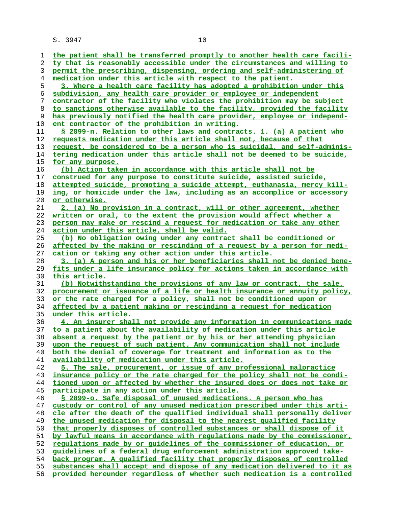| ı        | the patient shall be transferred promptly to another health care facili-                                                                             |
|----------|------------------------------------------------------------------------------------------------------------------------------------------------------|
| 2        | ty that is reasonably accessible under the circumstances and willing to                                                                              |
| 3        | permit the prescribing, dispensing, ordering and self-administering of                                                                               |
| 4        | medication under this article with respect to the patient.                                                                                           |
| 5        | 3. Where a health care facility has adopted a prohibition under this                                                                                 |
| 6        | subdivision, any health care provider or employee or independent                                                                                     |
| 7        | contractor of the facility who violates the prohibition may be subject                                                                               |
|          |                                                                                                                                                      |
| 8        | to sanctions otherwise available to the facility, provided the facility                                                                              |
| 9        | has previously notified the health care provider, employee or independ-                                                                              |
| 10       | <u>ent contractor of the prohibition in writing.</u>                                                                                                 |
| 11       | § 2899-n. Relation to other laws and contracts. 1. (a) A patient who                                                                                 |
| 12       | requests medication under this article shall not, because of that                                                                                    |
| 13       | request, be considered to be a person who is suicidal, and self-adminis-                                                                             |
| 14       | tering medication under this article shall not be deemed to be suicide,                                                                              |
| 15       | for any purpose.                                                                                                                                     |
| 16       | (b) Action taken in accordance with this article shall not be                                                                                        |
| 17       | construed for any purpose to constitute suicide, assisted suicide,                                                                                   |
| 18       | attempted suicide, promoting a suicide attempt, euthanasia, mercy kill-                                                                              |
| 19       | ing, or homicide under the law, including as an accomplice or accessory                                                                              |
| 20       | or otherwise.                                                                                                                                        |
| 21       | 2. (a) No provision in a contract, will or other agreement, whether                                                                                  |
| 22       | written or oral, to the extent the provision would affect whether a                                                                                  |
| 23       | person may make or rescind a request for medication or take any other                                                                                |
| 24       | <u>action under this article, shall be valid.</u>                                                                                                    |
|          | (b) No obligation owing under any contract shall be conditioned or                                                                                   |
| 25       |                                                                                                                                                      |
| 26       | affected by the making or rescinding of a request by a person for medi-                                                                              |
| 27       | <u>cation or taking any other action under this article.</u>                                                                                         |
| 28       | 3. (a) A person and his or her beneficiaries shall not be denied bene-                                                                               |
|          |                                                                                                                                                      |
| 29       | fits under a life insurance policy for actions taken in accordance with                                                                              |
| 30       | this article.                                                                                                                                        |
| 31       | (b) Notwithstanding the provisions of any law or contract, the sale,                                                                                 |
| 32       | procurement or issuance of a life or health insurance or annuity policy,                                                                             |
| 33       | or the rate charged for a policy, shall not be conditioned upon or                                                                                   |
| 34       | affected by a patient making or rescinding a request for medication                                                                                  |
| 35       | under this article.                                                                                                                                  |
| 36       | 4. An insurer shall not provide any information in communications made                                                                               |
| 37       | to a patient about the availability of medication under this article                                                                                 |
| 38       | absent a request by the patient or by his or her attending physician                                                                                 |
| 39       | upon the request of such patient. Any communication shall not include                                                                                |
| 40       | both the denial of coverage for treatment and information as to the                                                                                  |
| 41       |                                                                                                                                                      |
|          | availability of medication under this article.                                                                                                       |
| 42       | 5. The sale, procurement, or issue of any professional malpractice                                                                                   |
| 43       | insurance policy or the rate charged for the policy shall not be condi-                                                                              |
| 44       | tioned upon or affected by whether the insured does or does not take or                                                                              |
| 45       | participate in any action under this article.                                                                                                        |
| 46       | § 2899-o. Safe disposal of unused medications. A person who has                                                                                      |
| 47       | custody or control of any unused medication prescribed under this arti-                                                                              |
| 48       | cle after the death of the qualified individual shall personally deliver                                                                             |
| 49       | the unused medication for disposal to the nearest qualified facility                                                                                 |
| 50       | that properly disposes of controlled substances or shall dispose of it                                                                               |
| 51       | by lawful means in accordance with requlations made by the commissioner,                                                                             |
| 52       | requlations made by or quidelines of the commissioner of education, or                                                                               |
| 53       | quidelines of a federal drug enforcement administration approved take-                                                                               |
| 54       | back program. A qualified facility that properly disposes of controlled                                                                              |
| 55<br>56 | substances shall accept and dispose of any medication delivered to it as<br>provided hereunder regardless of whether such medication is a controlled |